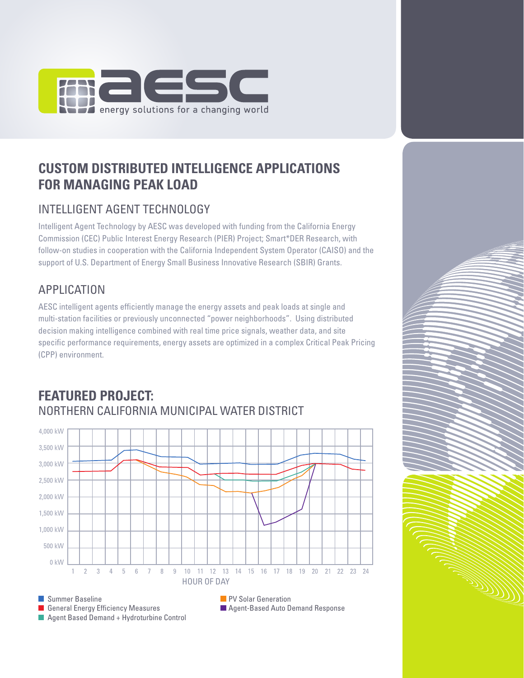

# **CUSTOM DISTRIBUTED INTELLIGENCE APPLICATIONS FOR MANAGING PEAK LOAD**

# INTELLIGENT AGENT TECHNOLOGY

Intelligent Agent Technology by AESC was developed with funding from the California Energy Commission (CEC) Public Interest Energy Research (PIER) Project; Smart\*DER Research, with follow-on studies in cooperation with the California Independent System Operator (CAISO) and the support of U.S. Department of Energy Small Business Innovative Research (SBIR) Grants.

# APPLICATION

AESC intelligent agents efficiently manage the energy assets and peak loads at single and multi-station facilities or previously unconnected "power neighborhoods". Using distributed decision making intelligence combined with real time price signals, weather data, and site specific performance requirements, energy assets are optimized in a complex Critical Peak Pricing (CPP) environment.



a de destruction de la propietat de la propietat de la propietat de la propietat de la propietat de la propiet<br>Considération de la propietat de la propietat de la propietat de la propietat de la propietat de la propietat<br>C

## **FEATURED PROJECT:** NORTHERN CALIFORNIA MUNICIPAL WATER DISTRICT